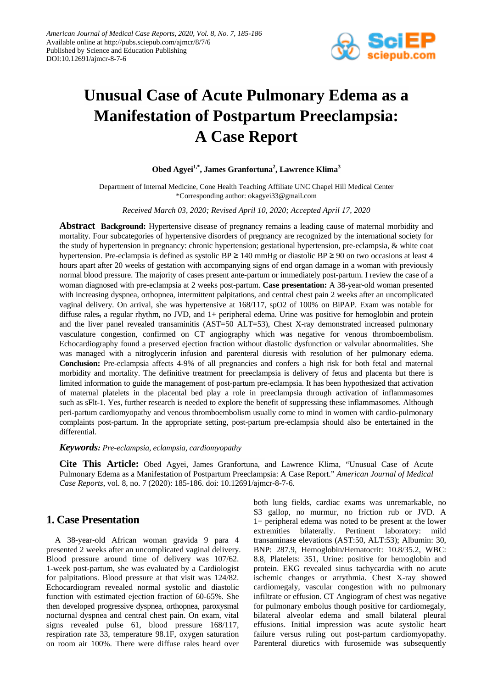

# **Unusual Case of Acute Pulmonary Edema as a Manifestation of Postpartum Preeclampsia: A Case Report**

#### **Obed Agyei1,\*, James Granfortuna2 , Lawrence Klima<sup>3</sup>**

Department of Internal Medicine, Cone Health Teaching Affiliate UNC Chapel Hill Medical Center \*Corresponding author: okagyei33@gmail.com

*Received March 03, 2020; Revised April 10, 2020; Accepted April 17, 2020*

**Abstract Background:** Hypertensive disease of pregnancy remains a leading cause of maternal morbidity and mortality. Four subcategories of hypertensive disorders of pregnancy are recognized by the international society for the study of hypertension in pregnancy: chronic hypertension; gestational hypertension, pre-eclampsia, & white coat hypertension. Pre-eclampsia is defined as systolic BP ≥ 140 mmHg or diastolic BP ≥ 90 on two occasions at least 4 hours apart after 20 weeks of gestation with accompanying signs of end organ damage in a woman with previously normal blood pressure. The majority of cases present ante-partum or immediately post-partum. I review the case of a woman diagnosed with pre-eclampsia at 2 weeks post-partum. **Case presentation:** A 38-year-old woman presented with increasing dyspnea, orthopnea, intermittent palpitations, and central chest pain 2 weeks after an uncomplicated vaginal delivery. On arrival, she was hypertensive at 168/117, spO2 of 100% on BiPAP. Exam was notable for diffuse rales, a regular rhythm, no JVD, and 1+ peripheral edema. Urine was positive for hemoglobin and protein and the liver panel revealed transaminitis (AST=50 ALT=53), Chest X-ray demonstrated increased pulmonary vasculature congestion, confirmed on CT angiography which was negative for venous thromboembolism. Echocardiography found a preserved ejection fraction without diastolic dysfunction or valvular abnormalities. She was managed with a nitroglycerin infusion and parenteral diuresis with resolution of her pulmonary edema. **Conclusion:** Pre-eclampsia affects 4-9% of all pregnancies and confers a high risk for both fetal and maternal morbidity and mortality. The definitive treatment for preeclampsia is delivery of fetus and placenta but there is limited information to guide the management of post-partum pre-eclampsia. It has been hypothesized that activation of maternal platelets in the placental bed play a role in preeclampsia through activation of inflammasomes such as sFlt-1. Yes, further research is needed to explore the benefit of suppressing these inflammasomes. Although peri-partum cardiomyopathy and venous thromboembolism usually come to mind in women with cardio-pulmonary complaints post-partum. In the appropriate setting, post-partum pre-eclampsia should also be entertained in the differential.

*Keywords: Pre-eclampsia, eclampsia, cardiomyopathy*

**Cite This Article:** Obed Agyei, James Granfortuna, and Lawrence Klima, "Unusual Case of Acute Pulmonary Edema as a Manifestation of Postpartum Preeclampsia: A Case Report." *American Journal of Medical Case Reports*, vol. 8, no. 7 (2020): 185-186. doi: 10.12691/ajmcr-8-7-6.

## **1. Case Presentation**

A 38-year-old African woman gravida 9 para 4 presented 2 weeks after an uncomplicated vaginal delivery. Blood pressure around time of delivery was 107/62. 1-week post-partum, she was evaluated by a Cardiologist for palpitations. Blood pressure at that visit was 124/82. Echocardiogram revealed normal systolic and diastolic function with estimated ejection fraction of 60-65%. She then developed progressive dyspnea, orthopnea, paroxysmal nocturnal dyspnea and central chest pain. On exam, vital signs revealed pulse 61, blood pressure 168/117, respiration rate 33, temperature 98.1F, oxygen saturation on room air 100%. There were diffuse rales heard over

both lung fields, cardiac exams was unremarkable, no S3 gallop, no murmur, no friction rub or JVD. A 1+ peripheral edema was noted to be present at the lower extremities bilaterally. Pertinent laboratory: mild transaminase elevations (AST:50, ALT:53); Albumin: 30, BNP: 287.9, Hemoglobin/Hematocrit: 10.8/35.2, WBC: 8.8, Platelets: 351, Urine: positive for hemoglobin and protein. EKG revealed sinus tachycardia with no acute ischemic changes or arrythmia. Chest X-ray showed cardiomegaly, vascular congestion with no pulmonary infiltrate or effusion. CT Angiogram of chest was negative for pulmonary embolus though positive for cardiomegaly, bilateral alveolar edema and small bilateral pleural effusions. Initial impression was acute systolic heart failure versus ruling out post-partum cardiomyopathy. Parenteral diuretics with furosemide was subsequently